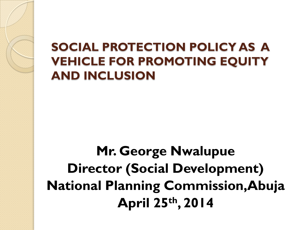#### **SOCIAL PROTECTION POLICY AS A VEHICLE FOR PROMOTING EQUITY AND INCLUSION**

#### **Mr. George Nwalupue Director (Social Development) National Planning Commission,Abuja April 25th, 2014**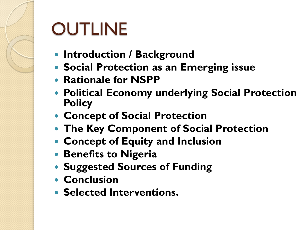# **OUTLINE**

- **Introduction / Background**
- **Social Protection as an Emerging issue**
- **Rationale for NSPP**
- **Political Economy underlying Social Protection Policy**
- **Concept of Social Protection**
- **The Key Component of Social Protection**
- **Concept of Equity and Inclusion**
- **Benefits to Nigeria**
- **Suggested Sources of Funding**
- **Conclusion**
- **Selected Interventions.**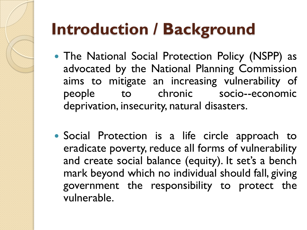## **Introduction / Background**

- The National Social Protection Policy (NSPP) as advocated by the National Planning Commission aims to mitigate an increasing vulnerability of people to chronic socio--economic deprivation, insecurity, natural disasters.
- Social Protection is a life circle approach to eradicate poverty, reduce all forms of vulnerability and create social balance (equity). It set's a bench mark beyond which no individual should fall, giving government the responsibility to protect the vulnerable.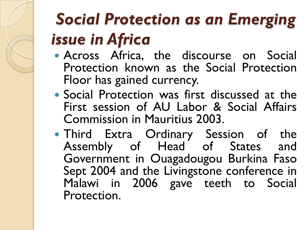#### *Social Protection as an Emerging issue in Africa*

- Across Africa, the discourse on Social Protection known as the Social Protection Floor has gained currency.
- Social Protection was first discussed at the First session of AU Labor & Social Affairs Commission in Mauritius 2003.
- Third Extra Ordinary Session of the Assembly of Head of States and Government in Ouagadougou Burkina Faso Sept 2004 and the Livingstone conference in Malawi in 2006 gave teeth to Social Protection.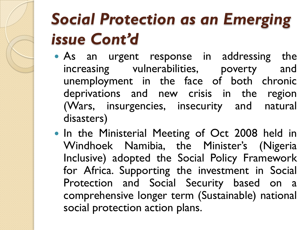#### *Social Protection as an Emerging issue Cont'd*

- As an urgent response in addressing the increasing vulnerabilities, poverty and unemployment in the face of both chronic deprivations and new crisis in the region (Wars, insurgencies, insecurity and natural disasters)
- In the Ministerial Meeting of Oct 2008 held in Windhoek Namibia, the Minister's (Nigeria Inclusive) adopted the Social Policy Framework for Africa. Supporting the investment in Social Protection and Social Security based on a comprehensive longer term (Sustainable) national social protection action plans.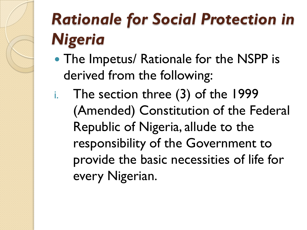#### *Rationale for Social Protection in Nigeria*

- The Impetus/ Rationale for the NSPP is derived from the following:
- i. The section three (3) of the 1999 (Amended) Constitution of the Federal Republic of Nigeria, allude to the responsibility of the Government to provide the basic necessities of life for every Nigerian.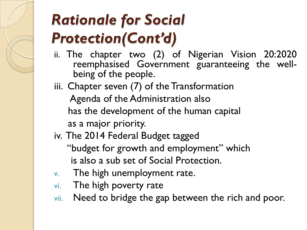#### *Rationale for Social Protection(Cont'd)*

- ii. The chapter two (2) of Nigerian Vision 20:2020 reemphasised Government guaranteeing the wellbeing of the people.
- iii. Chapter seven (7) of the Transformation Agenda of the Administration also has the development of the human capital as a major priority.
- iv. The 2014 Federal Budget tagged "budget for growth and employment" which is also a sub set of Social Protection.
- v. The high unemployment rate.
- vi. The high poverty rate
- vii. Need to bridge the gap between the rich and poor.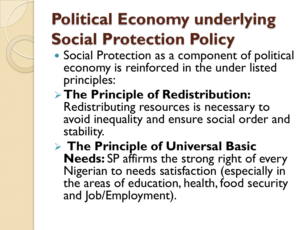#### **Political Economy underlying Social Protection Policy**

- Social Protection as a component of political economy is reinforced in the under listed principles:
- **The Principle of Redistribution:**  Redistributing resources is necessary to avoid inequality and ensure social order and stability.

 **The Principle of Universal Basic Needs:** SP affirms the strong right of every Nigerian to needs satisfaction (especially in the areas of education, health, food security and Job/Employment).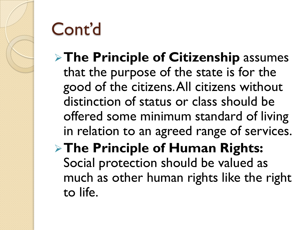

- **The Principle of Citizenship** assumes that the purpose of the state is for the good of the citizens. All citizens without distinction of status or class should be offered some minimum standard of living in relation to an agreed range of services.
- **The Principle of Human Rights:**  Social protection should be valued as much as other human rights like the right to life.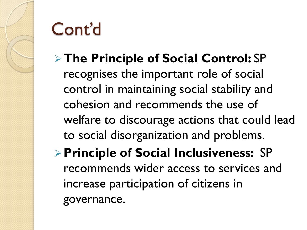#### **The Principle of Social Control:** SP

recognises the important role of social control in maintaining social stability and cohesion and recommends the use of welfare to discourage actions that could lead to social disorganization and problems.

#### **Principle of Social Inclusiveness:** SP recommends wider access to services and increase participation of citizens in governance.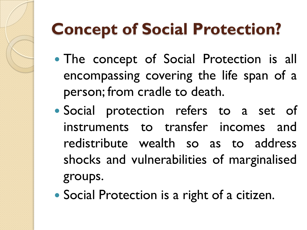#### **Concept of Social Protection?**

- The concept of Social Protection is all encompassing covering the life span of a person; from cradle to death.
- Social protection refers to a set of instruments to transfer incomes and redistribute wealth so as to address shocks and vulnerabilities of marginalised groups.
- Social Protection is a right of a citizen.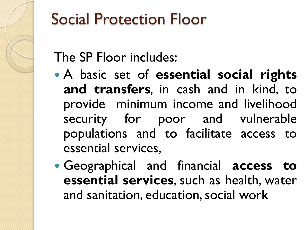

#### Social Protection Floor

#### The SP Floor includes:

- A basic set of **essential social rights and transfers**, in cash and in kind, to provide minimum income and livelihood security for poor and vulnerable populations and to facilitate access to essential services,
- Geographical and financial **access to essential services**, such as health, water and sanitation, education,social work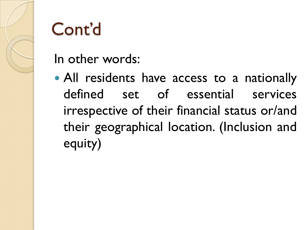

In other words:

 All residents have access to a nationally defined set of essential services irrespective of their financial status or/and their geographical location. (Inclusion and equity)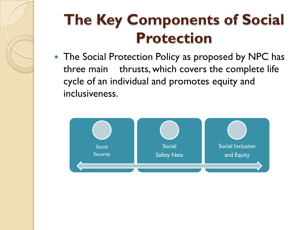

#### **The Key Components of Social Protection**

• The Social Protection Policy as proposed by NPC has three main thrusts, which covers the complete life cycle of an individual and promotes equity and inclusiveness.

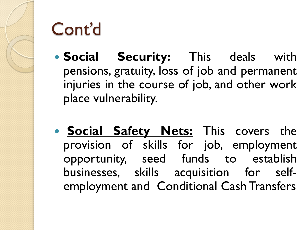

- **Social Security:** This deals with pensions, gratuity, loss of job and permanent injuries in the course of job, and other work place vulnerability.
- **Social Safety Nets:** This covers the provision of skills for job, employment opportunity, seed funds to establish businesses, skills acquisition for selfemployment and Conditional Cash Transfers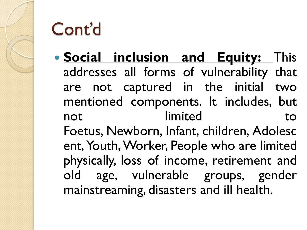

 **Social inclusion and Equity:** This addresses all forms of vulnerability that are not captured in the initial two mentioned components. It includes, but not limited to Foetus, Newborn, Infant, children, Adolesc ent, Youth, Worker, People who are limited physically, loss of income, retirement and old age, vulnerable groups, gender mainstreaming, disasters and ill health.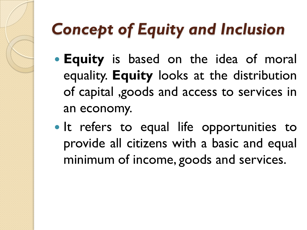#### *Concept of Equity and Inclusion*

- **Equity** is based on the idea of moral equality. **Equity** looks at the distribution of capital ,goods and access to services in an economy.
- It refers to equal life opportunities to provide all citizens with a basic and equal minimum of income, goods and services.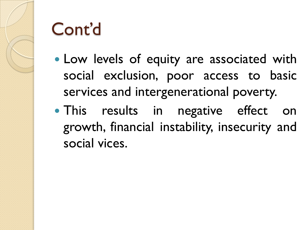

- Low levels of equity are associated with social exclusion, poor access to basic services and intergenerational poverty.
- This results in negative effect on growth, financial instability, insecurity and social vices.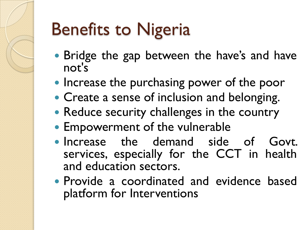## Benefits to Nigeria

- Bridge the gap between the have's and have not's
- Increase the purchasing power of the poor
- Create a sense of inclusion and belonging.
- Reduce security challenges in the country
- Empowerment of the vulnerable
- Increase the demand side of Govt. services, especially for the CCT in health and education sectors.
- Provide a coordinated and evidence based platform for Interventions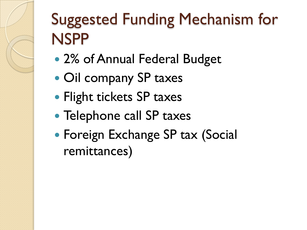#### Suggested Funding Mechanism for NSPP

- 2% of Annual Federal Budget
- Oil company SP taxes
- Flight tickets SP taxes
- Telephone call SP taxes
- Foreign Exchange SP tax (Social remittances)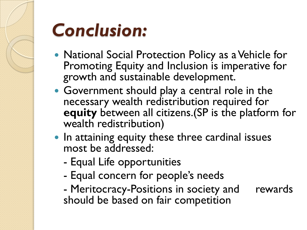

## *Conclusion:*

- National Social Protection Policy as a Vehicle for Promoting Equity and Inclusion is imperative for growth and sustainable development.
- Government should play a central role in the necessary wealth redistribution required for **equity** between all citizens.(SP is the platform for wealth redistribution)
- In attaining equity these three cardinal issues most be addressed:
	- Equal Life opportunities
	- Equal concern for people's needs
	- Meritocracy-Positions in society and rewards should be based on fair competition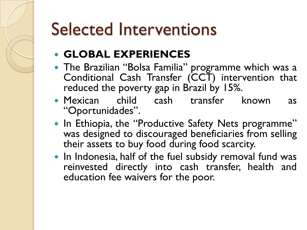#### Selected Interventions

#### **GLOBAL EXPERIENCES**

- The Brazilian "Bolsa Familia" programme which was a Conditional Cash Transfer (CCT) intervention that reduced the poverty gap in Brazil by 15%.
- Mexican child cash transfer known as "Oportunidades".
- In Ethiopia, the "Productive Safety Nets programme" was designed to discouraged beneficiaries from selling their assets to buy food during food scarcity.
- In Indonesia, half of the fuel subsidy removal fund was reinvested directly into cash transfer, health and education fee waivers for the poor.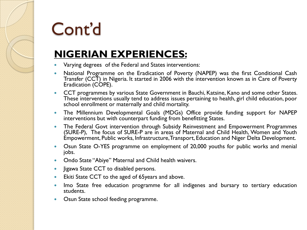#### **NIGERIAN EXPERIENCES:**

- Varying degrees of the Federal and States interventions:
- National Programme on the Eradication of Poverty (NAPEP) was the first Conditional Cash Transfer (CCT) in Nigeria. It started in 2006 with the intervention known as in Care of Poverty Eradication (COPE).
- CCT programmes by various State Government in Bauchi, Katsine, Kano and some other States. These interventions usually tend to address issues pertaining to health, girl child education, poor school enrollment or maternally and child mortality.
- The Millennium Developmental Goals (MDGs) Office provide funding support for NAPEP interventions but with counterpart funding from benefitting States.
- The Federal Govt intervention through Subsidy Reinvestment and Empowerment Programmes (SURE-P), The focus of SURE-P are in areas of Maternal and Child Health, Women and Youth Empowerment, Public works, Infrastructure,Transport, Education and Niger Delta Development.
- Osun State O-YES programme on employment of 20,000 youths for public works and menial jobs.
- Ondo State "Abiye" Maternal and Child health waivers.
- Jigawa State CCT to disabled persons.
- **Ekiti State CCT to the aged of 65 years and above.**
- Imo State free education programme for all indigenes and bursary to tertiary education students.
- Osun State school feeding programme.